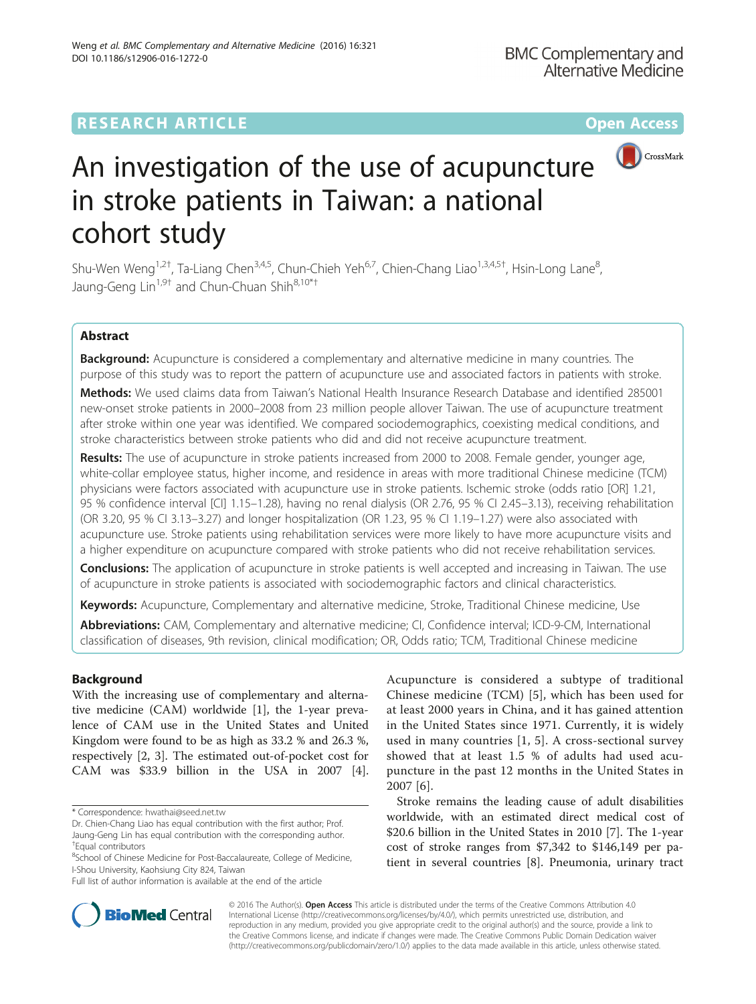# **RESEARCH ARTICLE Example 2014 12:30 The Contract of Contract ACCESS**



# An investigation of the use of acupuncture in stroke patients in Taiwan: a national cohort study

Shu-Wen Weng<sup>1,2†</sup>, Ta-Liang Chen<sup>3,4,5</sup>, Chun-Chieh Yeh<sup>6,7</sup>, Chien-Chang Liao<sup>1,3,4,5†</sup>, Hsin-Long Lane<sup>8</sup> , Jaung-Geng Lin<sup>1,9†</sup> and Chun-Chuan Shih<sup>8,10\*†</sup>

# Abstract

Background: Acupuncture is considered a complementary and alternative medicine in many countries. The purpose of this study was to report the pattern of acupuncture use and associated factors in patients with stroke.

Methods: We used claims data from Taiwan's National Health Insurance Research Database and identified 285001 new-onset stroke patients in 2000–2008 from 23 million people allover Taiwan. The use of acupuncture treatment after stroke within one year was identified. We compared sociodemographics, coexisting medical conditions, and stroke characteristics between stroke patients who did and did not receive acupuncture treatment.

Results: The use of acupuncture in stroke patients increased from 2000 to 2008. Female gender, younger age, white-collar employee status, higher income, and residence in areas with more traditional Chinese medicine (TCM) physicians were factors associated with acupuncture use in stroke patients. Ischemic stroke (odds ratio [OR] 1.21, 95 % confidence interval [CI] 1.15–1.28), having no renal dialysis (OR 2.76, 95 % CI 2.45–3.13), receiving rehabilitation (OR 3.20, 95 % CI 3.13–3.27) and longer hospitalization (OR 1.23, 95 % CI 1.19–1.27) were also associated with acupuncture use. Stroke patients using rehabilitation services were more likely to have more acupuncture visits and a higher expenditure on acupuncture compared with stroke patients who did not receive rehabilitation services.

**Conclusions:** The application of acupuncture in stroke patients is well accepted and increasing in Taiwan. The use of acupuncture in stroke patients is associated with sociodemographic factors and clinical characteristics.

Keywords: Acupuncture, Complementary and alternative medicine, Stroke, Traditional Chinese medicine, Use

Abbreviations: CAM, Complementary and alternative medicine; CI, Confidence interval; ICD-9-CM, International classification of diseases, 9th revision, clinical modification; OR, Odds ratio; TCM, Traditional Chinese medicine

# Background

With the increasing use of complementary and alternative medicine (CAM) worldwide [\[1](#page-6-0)], the 1-year prevalence of CAM use in the United States and United Kingdom were found to be as high as 33.2 % and 26.3 %, respectively [\[2](#page-6-0), [3\]](#page-6-0). The estimated out-of-pocket cost for CAM was \$33.9 billion in the USA in 2007 [\[4](#page-6-0)]. Acupuncture is considered a subtype of traditional Chinese medicine (TCM) [[5\]](#page-6-0), which has been used for at least 2000 years in China, and it has gained attention in the United States since 1971. Currently, it is widely used in many countries [[1, 5\]](#page-6-0). A cross-sectional survey showed that at least 1.5 % of adults had used acupuncture in the past 12 months in the United States in 2007 [[6\]](#page-6-0).

Stroke remains the leading cause of adult disabilities worldwide, with an estimated direct medical cost of \$20.6 billion in the United States in 2010 [[7\]](#page-6-0). The 1-year cost of stroke ranges from \$7,342 to \$146,149 per patient in several countries [\[8\]](#page-6-0). Pneumonia, urinary tract



© 2016 The Author(s). Open Access This article is distributed under the terms of the Creative Commons Attribution 4.0 International License [\(http://creativecommons.org/licenses/by/4.0/](http://creativecommons.org/licenses/by/4.0/)), which permits unrestricted use, distribution, and reproduction in any medium, provided you give appropriate credit to the original author(s) and the source, provide a link to the Creative Commons license, and indicate if changes were made. The Creative Commons Public Domain Dedication waiver [\(http://creativecommons.org/publicdomain/zero/1.0/](http://creativecommons.org/publicdomain/zero/1.0/)) applies to the data made available in this article, unless otherwise stated.

<sup>\*</sup> Correspondence: [hwathai@seed.net.tw](mailto:hwathai@seed.net.tw)

Dr. Chien-Chang Liao has equal contribution with the first author; Prof. Jaung-Geng Lin has equal contribution with the corresponding author. † Equal contributors

<sup>&</sup>lt;sup>8</sup>School of Chinese Medicine for Post-Baccalaureate, College of Medicine, I-Shou University, Kaohsiung City 824, Taiwan

Full list of author information is available at the end of the article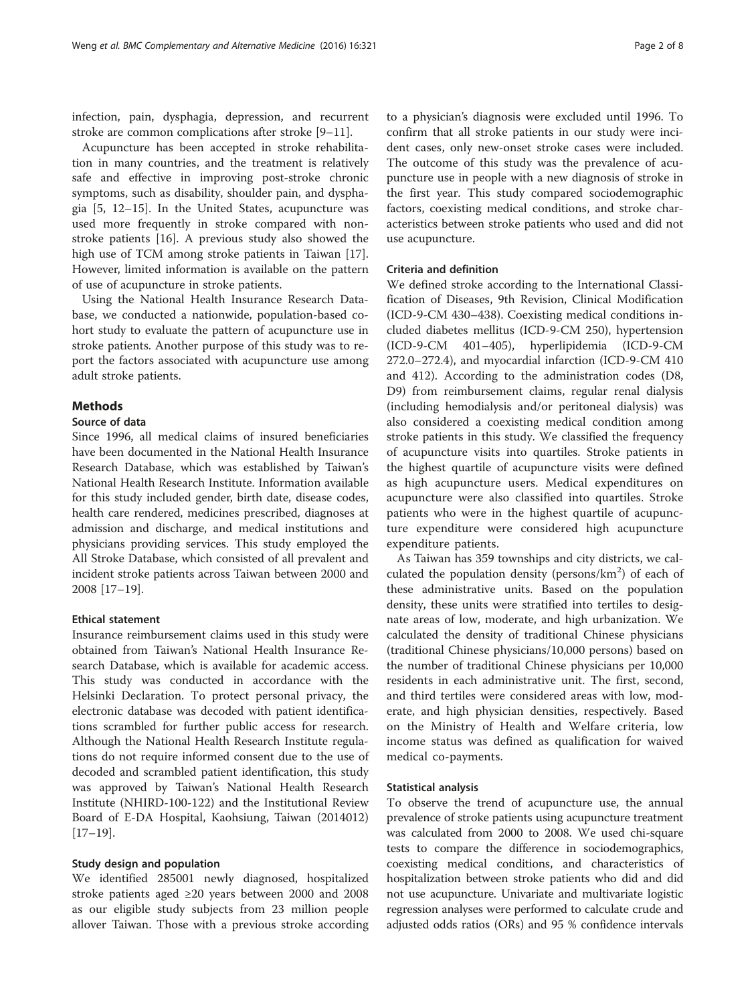infection, pain, dysphagia, depression, and recurrent stroke are common complications after stroke [[9](#page-6-0)–[11\]](#page-6-0).

Acupuncture has been accepted in stroke rehabilitation in many countries, and the treatment is relatively safe and effective in improving post-stroke chronic symptoms, such as disability, shoulder pain, and dysphagia [\[5](#page-6-0), [12](#page-6-0)–[15\]](#page-6-0). In the United States, acupuncture was used more frequently in stroke compared with nonstroke patients [[16\]](#page-6-0). A previous study also showed the high use of TCM among stroke patients in Taiwan [\[17](#page-6-0)]. However, limited information is available on the pattern of use of acupuncture in stroke patients.

Using the National Health Insurance Research Database, we conducted a nationwide, population-based cohort study to evaluate the pattern of acupuncture use in stroke patients. Another purpose of this study was to report the factors associated with acupuncture use among adult stroke patients.

# **Methods**

# Source of data

Since 1996, all medical claims of insured beneficiaries have been documented in the National Health Insurance Research Database, which was established by Taiwan's National Health Research Institute. Information available for this study included gender, birth date, disease codes, health care rendered, medicines prescribed, diagnoses at admission and discharge, and medical institutions and physicians providing services. This study employed the All Stroke Database, which consisted of all prevalent and incident stroke patients across Taiwan between 2000 and 2008 [\[17](#page-6-0)–[19\]](#page-6-0).

## Ethical statement

Insurance reimbursement claims used in this study were obtained from Taiwan's National Health Insurance Research Database, which is available for academic access. This study was conducted in accordance with the Helsinki Declaration. To protect personal privacy, the electronic database was decoded with patient identifications scrambled for further public access for research. Although the National Health Research Institute regulations do not require informed consent due to the use of decoded and scrambled patient identification, this study was approved by Taiwan's National Health Research Institute (NHIRD-100-122) and the Institutional Review Board of E-DA Hospital, Kaohsiung, Taiwan (2014012)  $[17–19]$  $[17–19]$  $[17–19]$  $[17–19]$  $[17–19]$ .

# Study design and population

We identified 285001 newly diagnosed, hospitalized stroke patients aged ≥20 years between 2000 and 2008 as our eligible study subjects from 23 million people allover Taiwan. Those with a previous stroke according

to a physician's diagnosis were excluded until 1996. To confirm that all stroke patients in our study were incident cases, only new-onset stroke cases were included. The outcome of this study was the prevalence of acupuncture use in people with a new diagnosis of stroke in the first year. This study compared sociodemographic factors, coexisting medical conditions, and stroke characteristics between stroke patients who used and did not use acupuncture.

# Criteria and definition

We defined stroke according to the International Classification of Diseases, 9th Revision, Clinical Modification (ICD-9-CM 430–438). Coexisting medical conditions included diabetes mellitus (ICD-9-CM 250), hypertension (ICD-9-CM 401–405), hyperlipidemia (ICD-9-CM 272.0–272.4), and myocardial infarction (ICD-9-CM 410 and 412). According to the administration codes (D8, D9) from reimbursement claims, regular renal dialysis (including hemodialysis and/or peritoneal dialysis) was also considered a coexisting medical condition among stroke patients in this study. We classified the frequency of acupuncture visits into quartiles. Stroke patients in the highest quartile of acupuncture visits were defined as high acupuncture users. Medical expenditures on acupuncture were also classified into quartiles. Stroke patients who were in the highest quartile of acupuncture expenditure were considered high acupuncture expenditure patients.

As Taiwan has 359 townships and city districts, we calculated the population density (persons/km<sup>2</sup>) of each of these administrative units. Based on the population density, these units were stratified into tertiles to designate areas of low, moderate, and high urbanization. We calculated the density of traditional Chinese physicians (traditional Chinese physicians/10,000 persons) based on the number of traditional Chinese physicians per 10,000 residents in each administrative unit. The first, second, and third tertiles were considered areas with low, moderate, and high physician densities, respectively. Based on the Ministry of Health and Welfare criteria, low income status was defined as qualification for waived medical co-payments.

## Statistical analysis

To observe the trend of acupuncture use, the annual prevalence of stroke patients using acupuncture treatment was calculated from 2000 to 2008. We used chi-square tests to compare the difference in sociodemographics, coexisting medical conditions, and characteristics of hospitalization between stroke patients who did and did not use acupuncture. Univariate and multivariate logistic regression analyses were performed to calculate crude and adjusted odds ratios (ORs) and 95 % confidence intervals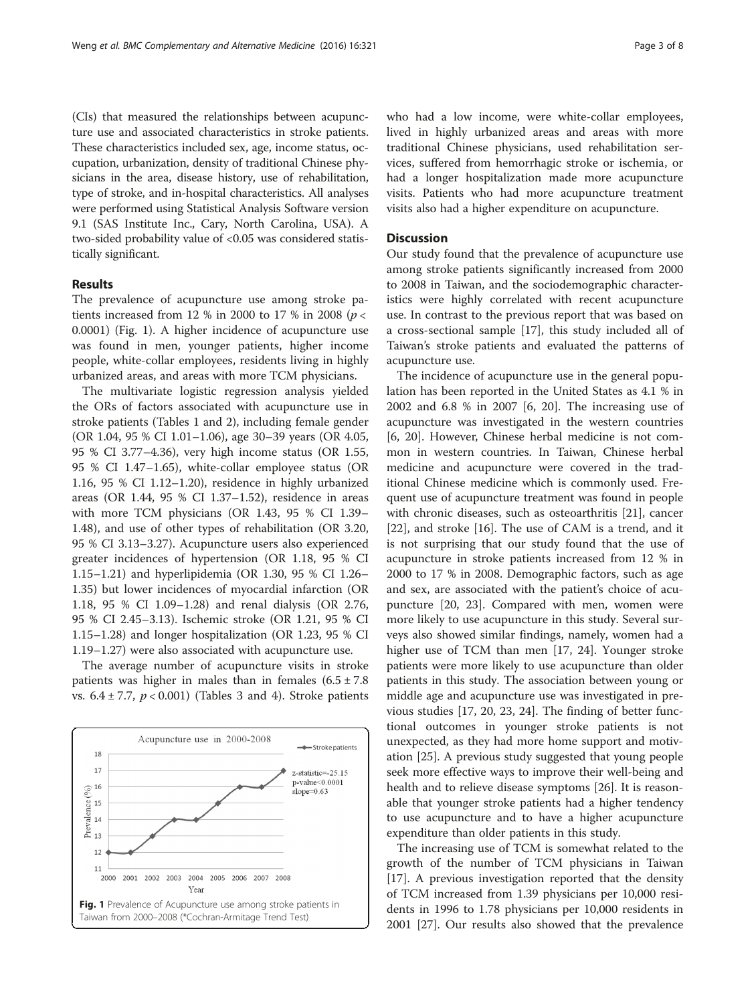(CIs) that measured the relationships between acupuncture use and associated characteristics in stroke patients. These characteristics included sex, age, income status, occupation, urbanization, density of traditional Chinese physicians in the area, disease history, use of rehabilitation, type of stroke, and in-hospital characteristics. All analyses were performed using Statistical Analysis Software version 9.1 (SAS Institute Inc., Cary, North Carolina, USA). A two-sided probability value of <0.05 was considered statistically significant.

# Results

The prevalence of acupuncture use among stroke patients increased from 12 % in 2000 to 17 % in 2008 ( $p <$ 0.0001) (Fig. 1). A higher incidence of acupuncture use was found in men, younger patients, higher income people, white-collar employees, residents living in highly urbanized areas, and areas with more TCM physicians.

The multivariate logistic regression analysis yielded the ORs of factors associated with acupuncture use in stroke patients (Tables [1](#page-3-0) and [2](#page-4-0)), including female gender (OR 1.04, 95 % CI 1.01–1.06), age 30–39 years (OR 4.05, 95 % CI 3.77–4.36), very high income status (OR 1.55, 95 % CI 1.47–1.65), white-collar employee status (OR 1.16, 95 % CI 1.12–1.20), residence in highly urbanized areas (OR 1.44, 95 % CI 1.37–1.52), residence in areas with more TCM physicians (OR 1.43, 95 % CI 1.39– 1.48), and use of other types of rehabilitation (OR 3.20, 95 % CI 3.13–3.27). Acupuncture users also experienced greater incidences of hypertension (OR 1.18, 95 % CI 1.15–1.21) and hyperlipidemia (OR 1.30, 95 % CI 1.26– 1.35) but lower incidences of myocardial infarction (OR 1.18, 95 % CI 1.09–1.28) and renal dialysis (OR 2.76, 95 % CI 2.45–3.13). Ischemic stroke (OR 1.21, 95 % CI 1.15–1.28) and longer hospitalization (OR 1.23, 95 % CI 1.19–1.27) were also associated with acupuncture use.

The average number of acupuncture visits in stroke patients was higher in males than in females  $(6.5 \pm 7.8)$ vs.  $6.4 \pm 7.7$ ,  $p < 0.001$ ) (Tables [3](#page-5-0) and [4](#page-5-0)). Stroke patients



who had a low income, were white-collar employees, lived in highly urbanized areas and areas with more traditional Chinese physicians, used rehabilitation services, suffered from hemorrhagic stroke or ischemia, or had a longer hospitalization made more acupuncture visits. Patients who had more acupuncture treatment visits also had a higher expenditure on acupuncture.

#### **Discussion**

Our study found that the prevalence of acupuncture use among stroke patients significantly increased from 2000 to 2008 in Taiwan, and the sociodemographic characteristics were highly correlated with recent acupuncture use. In contrast to the previous report that was based on a cross-sectional sample [[17](#page-6-0)], this study included all of Taiwan's stroke patients and evaluated the patterns of acupuncture use.

The incidence of acupuncture use in the general population has been reported in the United States as 4.1 % in 2002 and 6.8 % in 2007 [\[6](#page-6-0), [20\]](#page-6-0). The increasing use of acupuncture was investigated in the western countries [[6, 20](#page-6-0)]. However, Chinese herbal medicine is not common in western countries. In Taiwan, Chinese herbal medicine and acupuncture were covered in the traditional Chinese medicine which is commonly used. Frequent use of acupuncture treatment was found in people with chronic diseases, such as osteoarthritis [\[21](#page-6-0)], cancer [[22\]](#page-6-0), and stroke [\[16](#page-6-0)]. The use of CAM is a trend, and it is not surprising that our study found that the use of acupuncture in stroke patients increased from 12 % in 2000 to 17 % in 2008. Demographic factors, such as age and sex, are associated with the patient's choice of acupuncture [\[20, 23\]](#page-6-0). Compared with men, women were more likely to use acupuncture in this study. Several surveys also showed similar findings, namely, women had a higher use of TCM than men [\[17, 24\]](#page-6-0). Younger stroke patients were more likely to use acupuncture than older patients in this study. The association between young or middle age and acupuncture use was investigated in previous studies [[17, 20, 23, 24\]](#page-6-0). The finding of better functional outcomes in younger stroke patients is not unexpected, as they had more home support and motivation [[25](#page-6-0)]. A previous study suggested that young people seek more effective ways to improve their well-being and health and to relieve disease symptoms [\[26](#page-6-0)]. It is reasonable that younger stroke patients had a higher tendency to use acupuncture and to have a higher acupuncture expenditure than older patients in this study.

The increasing use of TCM is somewhat related to the growth of the number of TCM physicians in Taiwan [[17\]](#page-6-0). A previous investigation reported that the density of TCM increased from 1.39 physicians per 10,000 residents in 1996 to 1.78 physicians per 10,000 residents in 2001 [[27\]](#page-7-0). Our results also showed that the prevalence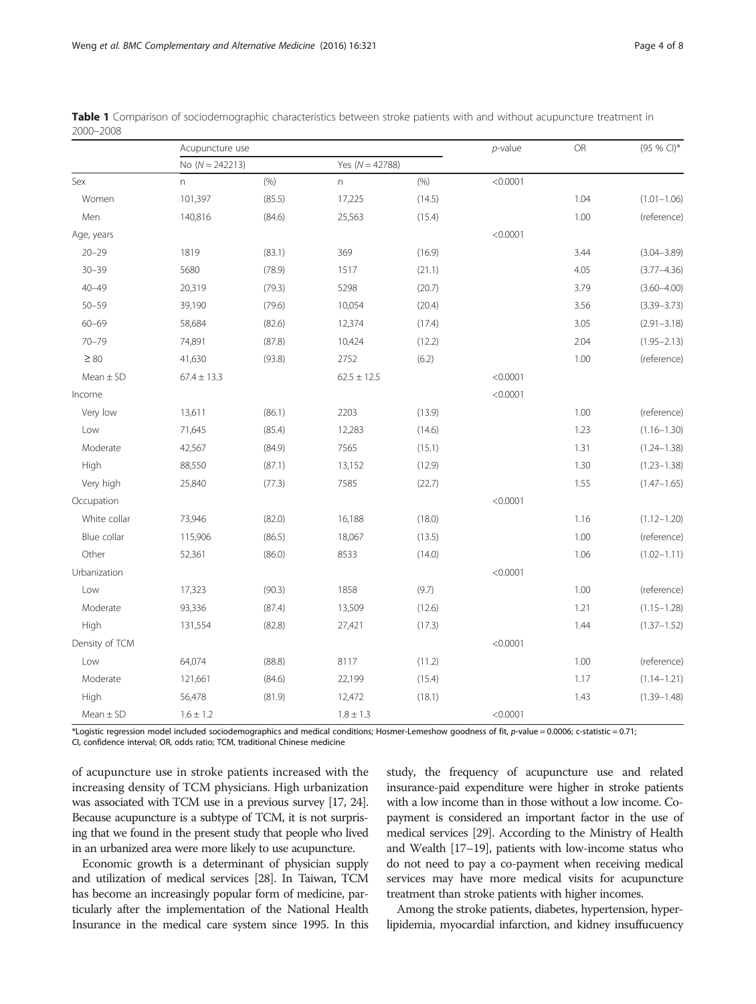|                | Acupuncture use   |        |                 |                     | $p$ -value | <b>OR</b> | (95 % CI)*      |
|----------------|-------------------|--------|-----------------|---------------------|------------|-----------|-----------------|
|                | No $(N = 242213)$ |        |                 | Yes ( $N = 42788$ ) |            |           |                 |
| Sex            | n                 | (% )   | n.              | (% )                | < 0.0001   |           |                 |
| Women          | 101,397           | (85.5) | 17,225          | (14.5)              |            | 1.04      | $(1.01 - 1.06)$ |
| Men            | 140,816           | (84.6) | 25,563          | (15.4)              |            | 1.00      | (reference)     |
| Age, years     |                   |        |                 |                     | < 0.0001   |           |                 |
| $20 - 29$      | 1819              | (83.1) | 369             | (16.9)              |            | 3.44      | $(3.04 - 3.89)$ |
| $30 - 39$      | 5680              | (78.9) | 1517            | (21.1)              |            | 4.05      | $(3.77 - 4.36)$ |
| $40 - 49$      | 20,319            | (79.3) | 5298            | (20.7)              |            | 3.79      | $(3.60 - 4.00)$ |
| $50 - 59$      | 39,190            | (79.6) | 10,054          | (20.4)              |            | 3.56      | $(3.39 - 3.73)$ |
| $60 - 69$      | 58,684            | (82.6) | 12,374          | (17.4)              |            | 3.05      | $(2.91 - 3.18)$ |
| $70 - 79$      | 74,891            | (87.8) | 10,424          | (12.2)              |            | 2.04      | $(1.95 - 2.13)$ |
| $\geq 80$      | 41,630            | (93.8) | 2752            | (6.2)               |            | 1.00      | (reference)     |
| $Mean \pm SD$  | $67.4 \pm 13.3$   |        | $62.5 \pm 12.5$ |                     | < 0.0001   |           |                 |
| Income         |                   |        |                 |                     | < 0.0001   |           |                 |
| Very low       | 13,611            | (86.1) | 2203            | (13.9)              |            | 1.00      | (reference)     |
| Low            | 71,645            | (85.4) | 12,283          | (14.6)              |            | 1.23      | $(1.16 - 1.30)$ |
| Moderate       | 42,567            | (84.9) | 7565            | (15.1)              |            | 1.31      | $(1.24 - 1.38)$ |
| High           | 88,550            | (87.1) | 13,152          | (12.9)              |            | 1.30      | $(1.23 - 1.38)$ |
| Very high      | 25,840            | (77.3) | 7585            | (22.7)              |            | 1.55      | $(1.47 - 1.65)$ |
| Occupation     |                   |        |                 |                     | < 0.0001   |           |                 |
| White collar   | 73,946            | (82.0) | 16,188          | (18.0)              |            | 1.16      | $(1.12 - 1.20)$ |
| Blue collar    | 115,906           | (86.5) | 18,067          | (13.5)              |            | 1.00      | (reference)     |
| Other          | 52,361            | (86.0) | 8533            | (14.0)              |            | 1.06      | $(1.02 - 1.11)$ |
| Urbanization   |                   |        |                 |                     | < 0.0001   |           |                 |
| Low            | 17,323            | (90.3) | 1858            | (9.7)               |            | 1.00      | (reference)     |
| Moderate       | 93,336            | (87.4) | 13,509          | (12.6)              |            | 1.21      | $(1.15 - 1.28)$ |
| High           | 131,554           | (82.8) | 27,421          | (17.3)              |            | 1.44      | $(1.37 - 1.52)$ |
| Density of TCM |                   |        |                 |                     | < 0.0001   |           |                 |
| Low            | 64,074            | (88.8) | 8117            | (11.2)              |            | 1.00      | (reference)     |
| Moderate       | 121,661           | (84.6) | 22,199          | (15.4)              |            | 1.17      | $(1.14 - 1.21)$ |
| High           | 56,478            | (81.9) | 12,472          | (18.1)              |            | 1.43      | $(1.39 - 1.48)$ |
| Mean $\pm$ SD  | $1.6 \pm 1.2$     |        | $1.8 \pm 1.3$   |                     | < 0.0001   |           |                 |

<span id="page-3-0"></span>Table 1 Comparison of sociodemographic characteristics between stroke patients with and without acupuncture treatment in 2000–2008

\*Logistic regression model included sociodemographics and medical conditions; Hosmer-Lemeshow goodness of fit, p-value = 0.0006; c-statistic = 0.71; CI, confidence interval; OR, odds ratio; TCM, traditional Chinese medicine

of acupuncture use in stroke patients increased with the increasing density of TCM physicians. High urbanization was associated with TCM use in a previous survey [[17, 24\]](#page-6-0). Because acupuncture is a subtype of TCM, it is not surprising that we found in the present study that people who lived in an urbanized area were more likely to use acupuncture.

Economic growth is a determinant of physician supply and utilization of medical services [\[28\]](#page-7-0). In Taiwan, TCM has become an increasingly popular form of medicine, particularly after the implementation of the National Health Insurance in the medical care system since 1995. In this

study, the frequency of acupuncture use and related insurance-paid expenditure were higher in stroke patients with a low income than in those without a low income. Copayment is considered an important factor in the use of medical services [\[29\]](#page-7-0). According to the Ministry of Health and Wealth [\[17](#page-6-0)–[19](#page-6-0)], patients with low-income status who do not need to pay a co-payment when receiving medical services may have more medical visits for acupuncture treatment than stroke patients with higher incomes.

Among the stroke patients, diabetes, hypertension, hyperlipidemia, myocardial infarction, and kidney insuffucuency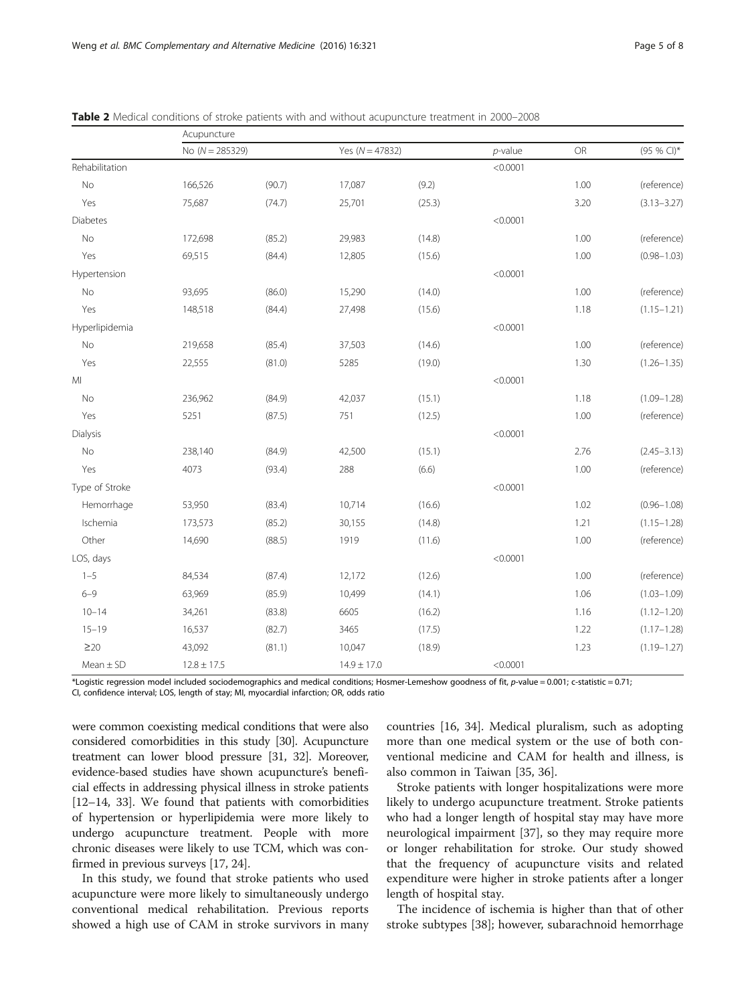|  | Page 5 Ol |  |
|--|-----------|--|
|  |           |  |

|                | Acupuncture       |        |                     |        |            |      |                 |
|----------------|-------------------|--------|---------------------|--------|------------|------|-----------------|
|                | No $(N = 285329)$ |        | Yes ( $N = 47832$ ) |        | $p$ -value | OR   | (95 % CI)*      |
| Rehabilitation |                   |        |                     |        | < 0.0001   |      |                 |
| <b>No</b>      | 166,526           | (90.7) | 17,087              | (9.2)  |            | 1.00 | (reference)     |
| Yes            | 75,687            | (74.7) | 25,701              | (25.3) |            | 3.20 | $(3.13 - 3.27)$ |
| Diabetes       |                   |        |                     |        | < 0.0001   |      |                 |
| <b>No</b>      | 172,698           | (85.2) | 29,983              | (14.8) |            | 1.00 | (reference)     |
| Yes            | 69,515            | (84.4) | 12,805              | (15.6) |            | 1.00 | $(0.98 - 1.03)$ |
| Hypertension   |                   |        |                     |        | < 0.0001   |      |                 |
| No             | 93,695            | (86.0) | 15,290              | (14.0) |            | 1.00 | (reference)     |
| Yes            | 148,518           | (84.4) | 27,498              | (15.6) |            | 1.18 | $(1.15 - 1.21)$ |
| Hyperlipidemia |                   |        |                     |        | < 0.0001   |      |                 |
| <b>No</b>      | 219,658           | (85.4) | 37,503              | (14.6) |            | 1.00 | (reference)     |
| Yes            | 22,555            | (81.0) | 5285                | (19.0) |            | 1.30 | $(1.26 - 1.35)$ |
| MI             |                   |        |                     |        | < 0.0001   |      |                 |
| No             | 236,962           | (84.9) | 42,037              | (15.1) |            | 1.18 | $(1.09 - 1.28)$ |
| Yes            | 5251              | (87.5) | 751                 | (12.5) |            | 1.00 | (reference)     |
| Dialysis       |                   |        |                     |        | < 0.0001   |      |                 |
| No             | 238,140           | (84.9) | 42,500              | (15.1) |            | 2.76 | $(2.45 - 3.13)$ |
| Yes            | 4073              | (93.4) | 288                 | (6.6)  |            | 1.00 | (reference)     |
| Type of Stroke |                   |        |                     |        | < 0.0001   |      |                 |
| Hemorrhage     | 53,950            | (83.4) | 10,714              | (16.6) |            | 1.02 | $(0.96 - 1.08)$ |
| Ischemia       | 173,573           | (85.2) | 30,155              | (14.8) |            | 1.21 | $(1.15 - 1.28)$ |
| Other          | 14,690            | (88.5) | 1919                | (11.6) |            | 1.00 | (reference)     |
| LOS, days      |                   |        |                     |        | < 0.0001   |      |                 |
| $1 - 5$        | 84,534            | (87.4) | 12,172              | (12.6) |            | 1.00 | (reference)     |
| $6 - 9$        | 63,969            | (85.9) | 10,499              | (14.1) |            | 1.06 | $(1.03 - 1.09)$ |
| $10 - 14$      | 34,261            | (83.8) | 6605                | (16.2) |            | 1.16 | $(1.12 - 1.20)$ |
| $15 - 19$      | 16,537            | (82.7) | 3465                | (17.5) |            | 1.22 | $(1.17 - 1.28)$ |
| $\geq$ 20      | 43,092            | (81.1) | 10,047              | (18.9) |            | 1.23 | $(1.19 - 1.27)$ |
| $Mean \pm SD$  | $12.8 \pm 17.5$   |        | $14.9 \pm 17.0$     |        | < 0.0001   |      |                 |

<span id="page-4-0"></span>Table 2 Medical conditions of stroke patients with and without acupuncture treatment in 2000–2008

\*Logistic regression model included sociodemographics and medical conditions; Hosmer-Lemeshow goodness of fit, p-value = 0.001; c-statistic = 0.71;

CI, confidence interval; LOS, length of stay; MI, myocardial infarction; OR, odds ratio

were common coexisting medical conditions that were also considered comorbidities in this study [\[30\]](#page-7-0). Acupuncture treatment can lower blood pressure [\[31, 32](#page-7-0)]. Moreover, evidence-based studies have shown acupuncture's beneficial effects in addressing physical illness in stroke patients [[12](#page-6-0)–[14,](#page-6-0) [33](#page-7-0)]. We found that patients with comorbidities of hypertension or hyperlipidemia were more likely to undergo acupuncture treatment. People with more chronic diseases were likely to use TCM, which was confirmed in previous surveys [\[17, 24\]](#page-6-0).

In this study, we found that stroke patients who used acupuncture were more likely to simultaneously undergo conventional medical rehabilitation. Previous reports showed a high use of CAM in stroke survivors in many

countries [\[16,](#page-6-0) [34](#page-7-0)]. Medical pluralism, such as adopting more than one medical system or the use of both conventional medicine and CAM for health and illness, is also common in Taiwan [\[35, 36\]](#page-7-0).

Stroke patients with longer hospitalizations were more likely to undergo acupuncture treatment. Stroke patients who had a longer length of hospital stay may have more neurological impairment [[37](#page-7-0)], so they may require more or longer rehabilitation for stroke. Our study showed that the frequency of acupuncture visits and related expenditure were higher in stroke patients after a longer length of hospital stay.

The incidence of ischemia is higher than that of other stroke subtypes [\[38](#page-7-0)]; however, subarachnoid hemorrhage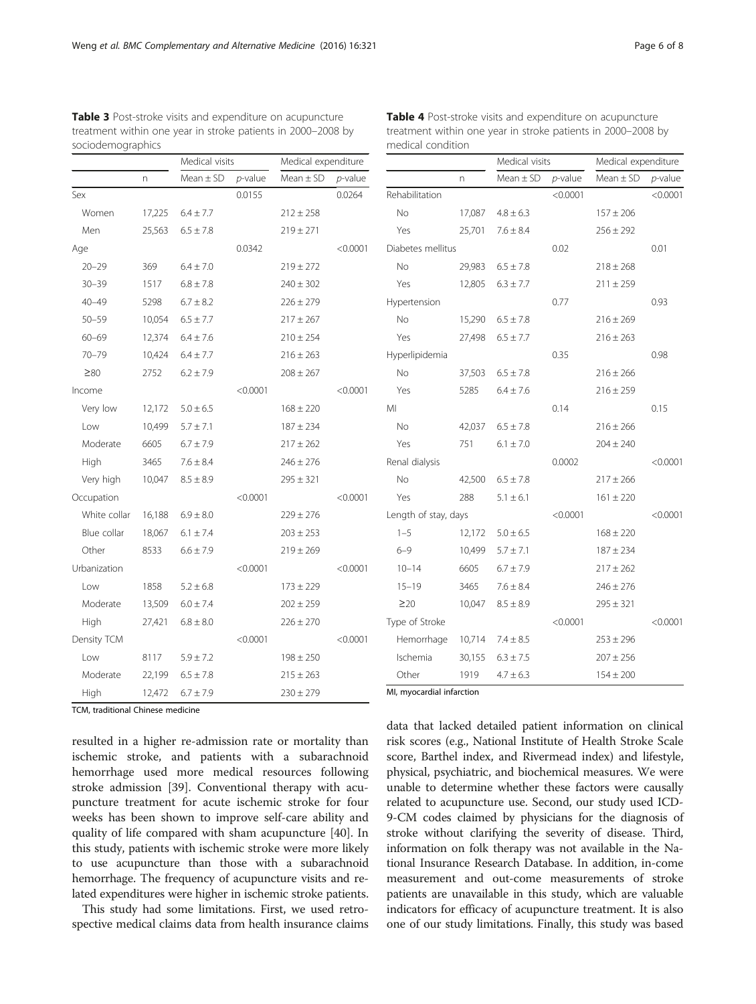Table 4 Post-stroke visits and expenditure on acupuncture

| treatment within one year in stroke patients in 2000-2008 by<br>sociodemographics |        |                |            |                     | treatment within one year in stroke patients in 2000-2008 by<br>medical condition |                           |        |                |            |                     |                 |
|-----------------------------------------------------------------------------------|--------|----------------|------------|---------------------|-----------------------------------------------------------------------------------|---------------------------|--------|----------------|------------|---------------------|-----------------|
|                                                                                   |        | Medical visits |            | Medical expenditure |                                                                                   |                           |        | Medical visits |            | Medical expenditure |                 |
|                                                                                   | n.     | $Mean \pm SD$  | $p$ -value | $Mean \pm SD$       | $p$ -value                                                                        |                           | n.     | $Mean \pm SD$  | $p$ -value | $Mean \pm SD$       | <i>p</i> -value |
| Sex                                                                               |        |                | 0.0155     |                     | 0.0264                                                                            | Rehabilitation            |        |                | < 0.0001   |                     | < 0.0001        |
| Women                                                                             | 17,225 | $6.4 \pm 7.7$  |            | $212 \pm 258$       |                                                                                   | No                        | 17,087 | $4.8 \pm 6.3$  |            | $157 \pm 206$       |                 |
| Men                                                                               | 25,563 | $6.5 \pm 7.8$  |            | $219 \pm 271$       |                                                                                   | Yes                       | 25,701 | $7.6 \pm 8.4$  |            | $256 \pm 292$       |                 |
| Age                                                                               |        |                | 0.0342     |                     | < 0.0001                                                                          | Diabetes mellitus         |        |                | 0.02       |                     | 0.01            |
| $20 - 29$                                                                         | 369    | $6.4 \pm 7.0$  |            | $219 \pm 272$       |                                                                                   | No                        | 29,983 | $6.5 \pm 7.8$  |            | $218 \pm 268$       |                 |
| $30 - 39$                                                                         | 1517   | $6.8 \pm 7.8$  |            | $240 \pm 302$       |                                                                                   | Yes                       | 12,805 | $6.3 \pm 7.7$  |            | $211 \pm 259$       |                 |
| $40 - 49$                                                                         | 5298   | $6.7 \pm 8.2$  |            | $226 \pm 279$       |                                                                                   | Hypertension              |        |                | 0.77       |                     | 0.93            |
| $50 - 59$                                                                         | 10,054 | $6.5 \pm 7.7$  |            | $217 \pm 267$       |                                                                                   | No                        | 15,290 | $6.5 \pm 7.8$  |            | $216 \pm 269$       |                 |
| $60 - 69$                                                                         | 12,374 | $6.4 \pm 7.6$  |            | $210 \pm 254$       |                                                                                   | Yes                       | 27,498 | $6.5 \pm 7.7$  |            | $216 \pm 263$       |                 |
| $70 - 79$                                                                         | 10,424 | $6.4 \pm 7.7$  |            | $216 \pm 263$       |                                                                                   | Hyperlipidemia            |        |                | 0.35       |                     | 0.98            |
| $\geq 80$                                                                         | 2752   | $6.2 \pm 7.9$  |            | $208 \pm 267$       |                                                                                   | No                        | 37,503 | $6.5 \pm 7.8$  |            | $216 \pm 266$       |                 |
| Income                                                                            |        |                | < 0.0001   |                     | < 0.0001                                                                          | Yes                       | 5285   | $6.4\pm7.6$    |            | $216 \pm 259$       |                 |
| Very low                                                                          | 12,172 | $5.0 \pm 6.5$  |            | $168 \pm 220$       |                                                                                   | MI                        |        |                | 0.14       |                     | 0.15            |
| Low                                                                               | 10,499 | $5.7 \pm 7.1$  |            | $187 \pm 234$       |                                                                                   | No                        | 42,037 | $6.5\pm7.8$    |            | $216 \pm 266$       |                 |
| Moderate                                                                          | 6605   | $6.7 \pm 7.9$  |            | $217 \pm 262$       |                                                                                   | Yes                       | 751    | $6.1 \pm 7.0$  |            | $204 \pm 240$       |                 |
| High                                                                              | 3465   | $7.6 \pm 8.4$  |            | $246 \pm 276$       |                                                                                   | Renal dialysis            |        |                | 0.0002     |                     | < 0.0001        |
| Very high                                                                         | 10,047 | $8.5 \pm 8.9$  |            | $295 \pm 321$       |                                                                                   | No                        | 42,500 | $6.5 \pm 7.8$  |            | $217 \pm 266$       |                 |
| Occupation                                                                        |        |                | < 0.0001   |                     | < 0.0001                                                                          | Yes                       | 288    | $5.1 \pm 6.1$  |            | $161 \pm 220$       |                 |
| White collar                                                                      | 16,188 | $6.9 \pm 8.0$  |            | $229 \pm 276$       |                                                                                   | Length of stay, days      |        |                | < 0.0001   |                     | < 0.0001        |
| Blue collar                                                                       | 18,067 | $6.1 \pm 7.4$  |            | $203 \pm 253$       |                                                                                   | $1 - 5$                   | 12,172 | $5.0 \pm 6.5$  |            | $168 \pm 220$       |                 |
| Other                                                                             | 8533   | $6.6 \pm 7.9$  |            | $219 \pm 269$       |                                                                                   | $6 - 9$                   | 10,499 | $5.7 \pm 7.1$  |            | $187 \pm 234$       |                 |
| Urbanization                                                                      |        |                | < 0.0001   |                     | < 0.0001                                                                          | $10 - 14$                 | 6605   | $6.7 \pm 7.9$  |            | $217 \pm 262$       |                 |
| Low                                                                               | 1858   | $5.2 \pm 6.8$  |            | $173 \pm 229$       |                                                                                   | $15 - 19$                 | 3465   | $7.6 \pm 8.4$  |            | $246 \pm 276$       |                 |
| Moderate                                                                          | 13,509 | $6.0 \pm 7.4$  |            | $202 \pm 259$       |                                                                                   | $\geq$ 20                 | 10,047 | $8.5 \pm 8.9$  |            | $295 \pm 321$       |                 |
| High                                                                              | 27,421 | $6.8 \pm 8.0$  |            | $226 \pm 270$       |                                                                                   | Type of Stroke            |        |                | < 0.0001   |                     | < 0.0001        |
| Density TCM                                                                       |        |                | < 0.0001   |                     | < 0.0001                                                                          | Hemorrhage                | 10,714 | $7.4 \pm 8.5$  |            | $253 \pm 296$       |                 |
| Low                                                                               | 8117   | $5.9 \pm 7.2$  |            | $198 \pm 250$       |                                                                                   | Ischemia                  | 30,155 | $6.3 \pm 7.5$  |            | $207 \pm 256$       |                 |
| Moderate                                                                          | 22,199 | $6.5 \pm 7.8$  |            | $215 \pm 263$       |                                                                                   | Other                     | 1919   | $4.7 \pm 6.3$  |            | $154 \pm 200$       |                 |
| High                                                                              | 12,472 | $6.7 \pm 7.9$  |            | $230 \pm 279$       |                                                                                   | MI, myocardial infarction |        |                |            |                     |                 |

<span id="page-5-0"></span>Table 3 Post-stroke visits and expenditure on acupuncture treatment within one year in stroke patients in 2000–2008 by sociodemographics

TCM, traditional Chinese medicine

resulted in a higher re-admission rate or mortality than ischemic stroke, and patients with a subarachnoid hemorrhage used more medical resources following stroke admission [\[39](#page-7-0)]. Conventional therapy with acupuncture treatment for acute ischemic stroke for four weeks has been shown to improve self-care ability and quality of life compared with sham acupuncture [\[40](#page-7-0)]. In this study, patients with ischemic stroke were more likely to use acupuncture than those with a subarachnoid hemorrhage. The frequency of acupuncture visits and related expenditures were higher in ischemic stroke patients.

This study had some limitations. First, we used retrospective medical claims data from health insurance claims data that lacked detailed patient information on clinical risk scores (e.g., National Institute of Health Stroke Scale score, Barthel index, and Rivermead index) and lifestyle, physical, psychiatric, and biochemical measures. We were unable to determine whether these factors were causally related to acupuncture use. Second, our study used ICD-9-CM codes claimed by physicians for the diagnosis of stroke without clarifying the severity of disease. Third, information on folk therapy was not available in the National Insurance Research Database. In addition, in-come measurement and out-come measurements of stroke patients are unavailable in this study, which are valuable indicators for efficacy of acupuncture treatment. It is also one of our study limitations. Finally, this study was based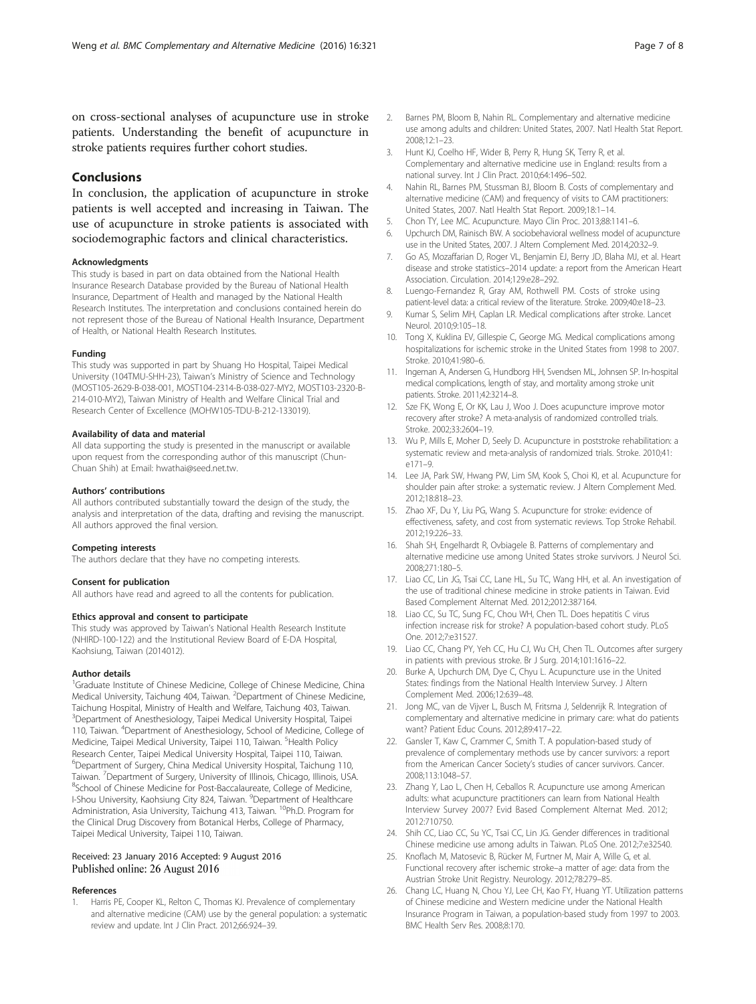<span id="page-6-0"></span>on cross-sectional analyses of acupuncture use in stroke patients. Understanding the benefit of acupuncture in stroke patients requires further cohort studies.

# **Conclusions**

In conclusion, the application of acupuncture in stroke patients is well accepted and increasing in Taiwan. The use of acupuncture in stroke patients is associated with sociodemographic factors and clinical characteristics.

#### Acknowledgments

This study is based in part on data obtained from the National Health Insurance Research Database provided by the Bureau of National Health Insurance, Department of Health and managed by the National Health Research Institutes. The interpretation and conclusions contained herein do not represent those of the Bureau of National Health Insurance, Department of Health, or National Health Research Institutes.

#### Funding

This study was supported in part by Shuang Ho Hospital, Taipei Medical University (104TMU-SHH-23), Taiwan's Ministry of Science and Technology (MOST105-2629-B-038-001, MOST104-2314-B-038-027-MY2, MOST103-2320-B-214-010-MY2), Taiwan Ministry of Health and Welfare Clinical Trial and Research Center of Excellence (MOHW105-TDU-B-212-133019).

#### Availability of data and material

All data supporting the study is presented in the manuscript or available upon request from the corresponding author of this manuscript (Chun-Chuan Shih) at Email: hwathai@seed.net.tw.

#### Authors' contributions

All authors contributed substantially toward the design of the study, the analysis and interpretation of the data, drafting and revising the manuscript. All authors approved the final version.

#### Competing interests

The authors declare that they have no competing interests.

#### Consent for publication

All authors have read and agreed to all the contents for publication.

## Ethics approval and consent to participate

This study was approved by Taiwan's National Health Research Institute (NHIRD-100-122) and the Institutional Review Board of E-DA Hospital, Kaohsiung, Taiwan (2014012).

## Author details

<sup>1</sup>Graduate Institute of Chinese Medicine, College of Chinese Medicine, China Medical University, Taichung 404, Taiwan. <sup>2</sup>Department of Chinese Medicine, Taichung Hospital, Ministry of Health and Welfare, Taichung 403, Taiwan. <sup>3</sup>Department of Anesthesiology, Taipei Medical University Hospital, Taipei 110, Taiwan. <sup>4</sup> Department of Anesthesiology, School of Medicine, College of Medicine, Taipei Medical University, Taipei 110, Taiwan. <sup>5</sup>Health Policy Research Center, Taipei Medical University Hospital, Taipei 110, Taiwan. <sup>6</sup>Department of Surgery, China Medical University Hospital, Taichung 110, Taiwan. <sup>7</sup> Department of Surgery, University of Illinois, Chicago, Illinois, USA.<br><sup>8</sup>School of Chinase Medicina for Post Bassalaureate. Cellege of Medicine. <sup>8</sup>School of Chinese Medicine for Post-Baccalaureate, College of Medicine, I-Shou University, Kaohsiung City 824, Taiwan. <sup>9</sup>Department of Healthcare Administration, Asia University, Taichung 413, Taiwan. <sup>10</sup>Ph.D. Program for the Clinical Drug Discovery from Botanical Herbs, College of Pharmacy, Taipei Medical University, Taipei 110, Taiwan.

## Received: 23 January 2016 Accepted: 9 August 2016 Published online: 26 August 2016

#### References

Harris PE, Cooper KL, Relton C, Thomas KJ. Prevalence of complementary and alternative medicine (CAM) use by the general population: a systematic review and update. Int J Clin Pract. 2012;66:924–39.

- 2. Barnes PM, Bloom B, Nahin RL. Complementary and alternative medicine use among adults and children: United States, 2007. Natl Health Stat Report. 2008;12:1–23.
- 3. Hunt KJ, Coelho HF, Wider B, Perry R, Hung SK, Terry R, et al. Complementary and alternative medicine use in England: results from a national survey. Int J Clin Pract. 2010;64:1496–502.
- 4. Nahin RL, Barnes PM, Stussman BJ, Bloom B. Costs of complementary and alternative medicine (CAM) and frequency of visits to CAM practitioners: United States, 2007. Natl Health Stat Report. 2009;18:1–14.
- 5. Chon TY, Lee MC. Acupuncture. Mayo Clin Proc. 2013;88:1141–6.
- Upchurch DM, Rainisch BW. A sociobehavioral wellness model of acupuncture use in the United States, 2007. J Altern Complement Med. 2014;20:32–9.
- 7. Go AS, Mozaffarian D, Roger VL, Benjamin EJ, Berry JD, Blaha MJ, et al. Heart disease and stroke statistics–2014 update: a report from the American Heart Association. Circulation. 2014;129:e28–292.
- 8. Luengo-Fernandez R, Gray AM, Rothwell PM. Costs of stroke using patient-level data: a critical review of the literature. Stroke. 2009;40:e18–23.
- 9. Kumar S, Selim MH, Caplan LR. Medical complications after stroke. Lancet Neurol. 2010;9:105–18.
- 10. Tong X, Kuklina EV, Gillespie C, George MG. Medical complications among hospitalizations for ischemic stroke in the United States from 1998 to 2007. Stroke. 2010;41:980–6.
- 11. Ingeman A, Andersen G, Hundborg HH, Svendsen ML, Johnsen SP. In-hospital medical complications, length of stay, and mortality among stroke unit patients. Stroke. 2011;42:3214–8.
- 12. Sze FK, Wong E, Or KK, Lau J, Woo J. Does acupuncture improve motor recovery after stroke? A meta-analysis of randomized controlled trials. Stroke. 2002;33:2604–19.
- 13. Wu P, Mills E, Moher D, Seely D. Acupuncture in poststroke rehabilitation: a systematic review and meta-analysis of randomized trials. Stroke. 2010;41: e171–9.
- 14. Lee JA, Park SW, Hwang PW, Lim SM, Kook S, Choi KI, et al. Acupuncture for shoulder pain after stroke: a systematic review. J Altern Complement Med. 2012;18:818–23.
- 15. Zhao XF, Du Y, Liu PG, Wang S. Acupuncture for stroke: evidence of effectiveness, safety, and cost from systematic reviews. Top Stroke Rehabil. 2012;19:226–33.
- 16. Shah SH, Engelhardt R, Ovbiagele B. Patterns of complementary and alternative medicine use among United States stroke survivors. J Neurol Sci. 2008;271:180–5.
- 17. Liao CC, Lin JG, Tsai CC, Lane HL, Su TC, Wang HH, et al. An investigation of the use of traditional chinese medicine in stroke patients in Taiwan. Evid Based Complement Alternat Med. 2012;2012:387164.
- 18. Liao CC, Su TC, Sung FC, Chou WH, Chen TL. Does hepatitis C virus infection increase risk for stroke? A population-based cohort study. PLoS One. 2012;7:e31527.
- 19. Liao CC, Chang PY, Yeh CC, Hu CJ, Wu CH, Chen TL. Outcomes after surgery in patients with previous stroke. Br J Surg. 2014;101:1616–22.
- 20. Burke A, Upchurch DM, Dye C, Chyu L. Acupuncture use in the United States: findings from the National Health Interview Survey. J Altern Complement Med. 2006;12:639–48.
- 21. Jong MC, van de Vijver L, Busch M, Fritsma J, Seldenrijk R. Integration of complementary and alternative medicine in primary care: what do patients want? Patient Educ Couns. 2012;89:417–22.
- 22. Gansler T, Kaw C, Crammer C, Smith T. A population-based study of prevalence of complementary methods use by cancer survivors: a report from the American Cancer Society's studies of cancer survivors. Cancer. 2008;113:1048–57.
- 23. Zhang Y, Lao L, Chen H, Ceballos R. Acupuncture use among American adults: what acupuncture practitioners can learn from National Health Interview Survey 2007? Evid Based Complement Alternat Med. 2012; 2012:710750.
- 24. Shih CC, Liao CC, Su YC, Tsai CC, Lin JG. Gender differences in traditional Chinese medicine use among adults in Taiwan. PLoS One. 2012;7:e32540.
- 25. Knoflach M, Matosevic B, Rücker M, Furtner M, Mair A, Wille G, et al. Functional recovery after ischemic stroke–a matter of age: data from the Austrian Stroke Unit Registry. Neurology. 2012;78:279–85.
- 26. Chang LC, Huang N, Chou YJ, Lee CH, Kao FY, Huang YT. Utilization patterns of Chinese medicine and Western medicine under the National Health Insurance Program in Taiwan, a population-based study from 1997 to 2003. BMC Health Serv Res. 2008;8:170.